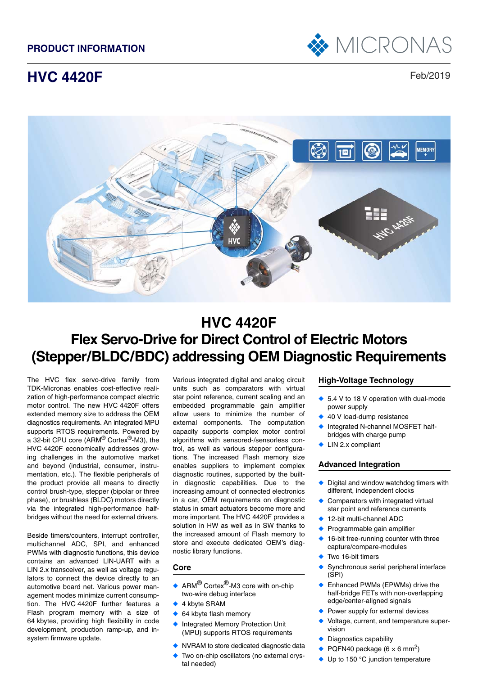

## **HVC 4420F** Feb/2019



# **HVC 4420F Flex Servo-Drive for Direct Control of Electric Motors (Stepper / BLDC / BDC) addressing OEM Diagnostic Requirements**

The HVC flex servo-drive family from TDK-Micronas enables cost-effective realization of high-performance compact electric motor control. The new HVC 4420F offers extended memory size to address the OEM diagnostics requirements. An integrated MPU supports RTOS requirements. Powered by a 32-bit CPU core (ARM® Cortex®-M3), the HVC 4420F economically addresses growing challenges in the automotive market and beyond (industrial, consumer, instrumentation, etc.). The flexible peripherals of the product provide all means to directly control brush-type, stepper (bipolar or three phase), or brushless (BLDC) motors directly via the integrated high-performance halfbridges without the need for external drivers.

Beside timers/counters, interrupt controller, multichannel ADC, SPI, and enhanced PWMs with diagnostic functions, this device contains an advanced LIN-UART with a LIN 2.x transceiver, as well as voltage regulators to connect the device directly to an automotive board net. Various power management modes minimize current consumption. The HVC 4420F further features a Flash program memory with a size of 64 kbytes, providing high flexibility in code development, production ramp-up, and insystem firmware update.

Various integrated digital and analog circuit units such as comparators with virtual star point reference, current scaling and an embedded programmable gain amplifier allow users to minimize the number of external components. The computation capacity supports complex motor control algorithms with sensored-/sensorless control, as well as various stepper configurations. The increased Flash memory size enables suppliers to implement complex diagnostic routines, supported by the builtin diagnostic capabilities. Due to the increasing amount of connected electronics in a car, OEM requirements on diagnostic status in smart actuators become more and more important. The HVC 4420F provides a solution in HW as well as in SW thanks to the increased amount of Flash memory to store and execute dedicated OEM's diagnostic library functions.

#### **Core**

- $\blacklozenge$  ARM $^\text{\textregistered}$  Cortex $^\text{\textregistered}$ -M3 core with on-chip two-wire debug interface
- ◆ 4 kbyte SRAM
- ◆ 64 kbyte flash memory
- ◆ Integrated Memory Protection Unit (MPU) supports RTOS requirements
- ◆ NVRAM to store dedicated diagnostic data
- Two on-chip oscillators (no external crystal needed)

### **High-Voltage Technology**

- ◆ 5.4 V to 18 V operation with dual-mode power supply
- 40 V load-dump resistance
- Integrated N-channel MOSFET halfbridges with charge pump
- ◆ LIN 2.x compliant

#### **Advanced Integration**

- Digital and window watchdog timers with different, independent clocks
- Comparators with integrated virtual star point and reference currents
- 12-bit multi-channel ADC
- Programmable gain amplifier
- 16-bit free-running counter with three capture/compare-modules
- Two 16-bit timers
- Synchronous serial peripheral interface (SPI)
- Enhanced PWMs (EPWMs) drive the half-bridge FETs with non-overlapping edge/center-aligned signals
- Power supply for external devices
- Voltage, current, and temperature supervision
- Diagnostics capability
- ◆ PQFN40 package (6  $\times$  6 mm<sup>2</sup>)
- ◆ Up to 150 °C junction temperature